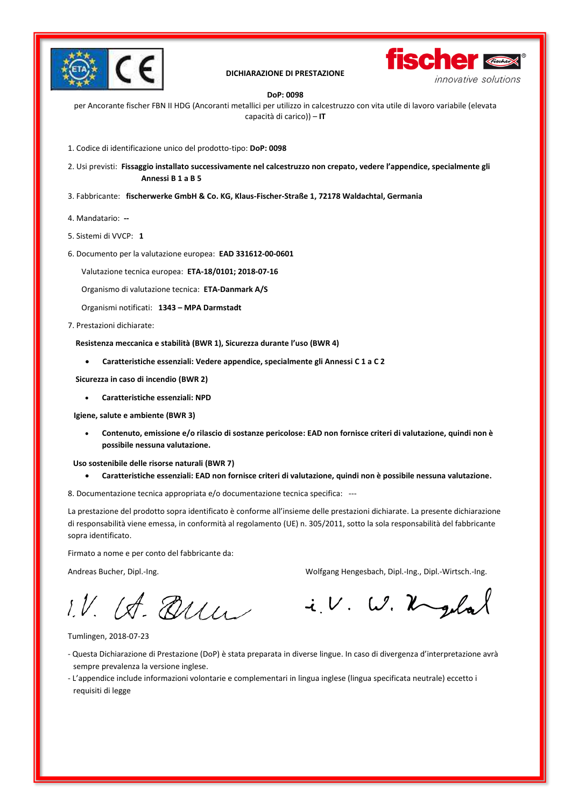

#### **DICHIARAZIONE DI PRESTAZIONE**



#### **DoP: 0098**

per Ancorante fischer FBN II HDG (Ancoranti metallici per utilizzo in calcestruzzo con vita utile di lavoro variabile (elevata capacità di carico)) – **IT**

1. Codice di identificazione unico del prodotto-tipo: **DoP: 0098**

2. Usi previsti: Fissaggio installato successivamente nel calcestruzzo non crepato, vedere l'appendice, specialmente gli **Annessi B 1 a B 5**

- 3. Fabbricante: **fischerwerke GmbH & Co. KG, Klaus-Fischer-Straße 1, 72178 Waldachtal, Germania**
- 4. Mandatario: **--**
- 5. Sistemi di VVCP: **1**
- 6. Documento per la valutazione europea: **EAD 331612-00-0601**
	- Valutazione tecnica europea: **ETA-18/0101; 2018-07-16**

Organismo di valutazione tecnica: **ETA-Danmark A/S**

Organismi notificati: **1343 – MPA Darmstadt**

7. Prestazioni dichiarate:

Resistenza meccanica e stabilità (BWR 1), Sicurezza durante l'uso (BWR 4)

• **Caratteristiche essenziali: Vedere appendice, specialmente gli Annessi C 1 a C 2** 

 **Sicurezza in caso di incendio (BWR 2)** 

• **Caratteristiche essenziali: NPD**

 **Igiene, salute e ambiente (BWR 3)** 

• **Contenuto, emissione e/o rilascio di sostanze pericolose: EAD non fornisce criteri di valutazione, quindi non è possibile nessuna valutazione.**

 **Uso sostenibile delle risorse naturali (BWR 7)** 

• **Caratteristiche essenziali: EAD non fornisce criteri di valutazione, quindi non è possibile nessuna valutazione.** 

8. Documentazione tecnica appropriata e/o documentazione tecnica specifica: ---

La prestazione del prodotto sopra identificato è conforme all'insieme delle prestazioni dichiarate. La presente dichiarazione di responsabilità viene emessa, in conformità al regolamento (UE) n. 305/2011, sotto la sola responsabilità del fabbricante sopra identificato.

Firmato a nome e per conto del fabbricante da:

Andreas Bucher, Dipl.-Ing. Wolfgang Hengesbach, Dipl.-Ing., Dipl.-Wirtsch.-Ing.

i.V. W. Ugelal

1.V. IA. Que

Tumlingen, 2018-07-23

- Questa Dichiarazione di Prestazione (DoP) è stata preparata in diverse lingue. In caso di divergenza d'interpretazione avrà sempre prevalenza la versione inglese.
- L'appendice include informazioni volontarie e complementari in lingua inglese (lingua specificata neutrale) eccetto i requisiti di legge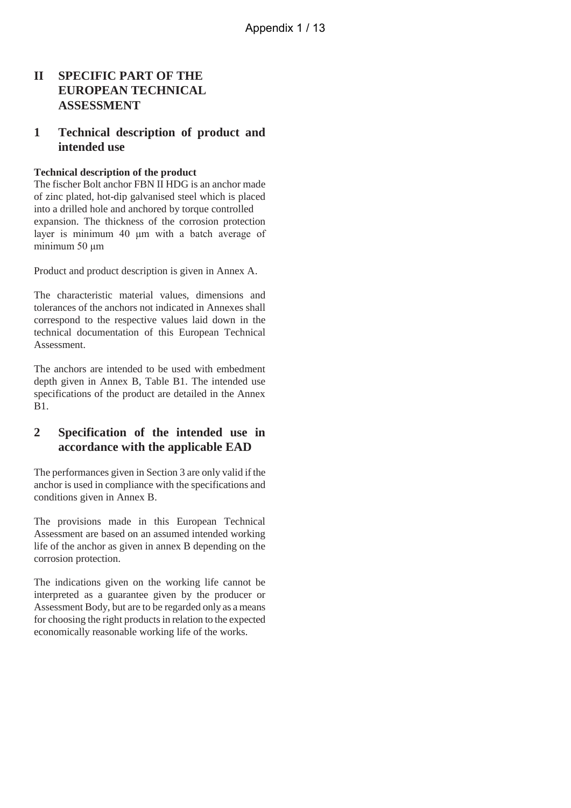### **II SPECIFIC PART OF THE EUROPEAN TECHNICAL ASSESSMENT**

### **1 Technical description of product and intended use**

#### **Technical description of the product**

The fischer Bolt anchor FBN II HDG is an anchor made of zinc plated, hot-dip galvanised steel which is placed into a drilled hole and anchored by torque controlled expansion. The thickness of the corrosion protection layer is minimum 40 μm with a batch average of minimum 50 μm

Product and product description is given in Annex A.

The characteristic material values, dimensions and tolerances of the anchors not indicated in Annexes shall correspond to the respective values laid down in the technical documentation of this European Technical Assessment.

The anchors are intended to be used with embedment depth given in Annex B, Table B1. The intended use specifications of the product are detailed in the Annex B1.

### **2 Specification of the intended use in accordance with the applicable EAD**

The performances given in Section 3 are only valid if the anchor is used in compliance with the specifications and conditions given in Annex B.

The provisions made in this European Technical Assessment are based on an assumed intended working life of the anchor as given in annex B depending on the corrosion protection.

The indications given on the working life cannot be interpreted as a guarantee given by the producer or Assessment Body, but are to be regarded only as a means for choosing the right products in relation to the expected economically reasonable working life of the works.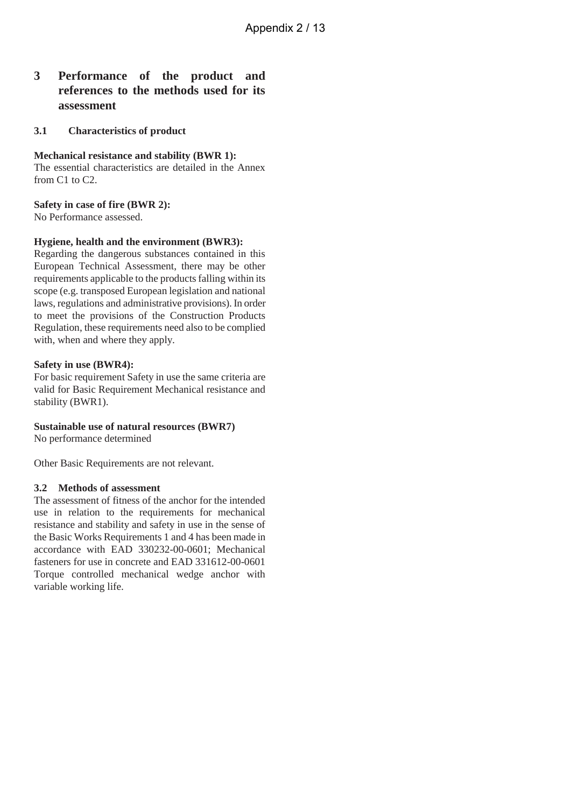### **3 Performance of the product and references to the methods used for its assessment**

#### **3.1 Characteristics of product**

**Mechanical resistance and stability (BWR 1):** The essential characteristics are detailed in the Annex from C1 to C2.

**Safety in case of fire (BWR 2):**

No Performance assessed.

#### **Hygiene, health and the environment (BWR3):**

Regarding the dangerous substances contained in this European Technical Assessment, there may be other requirements applicable to the products falling within its scope (e.g. transposed European legislation and national laws, regulations and administrative provisions). In order to meet the provisions of the Construction Products Regulation, these requirements need also to be complied with, when and where they apply.

#### **Safety in use (BWR4):**

For basic requirement Safety in use the same criteria are valid for Basic Requirement Mechanical resistance and stability (BWR1).

#### **Sustainable use of natural resources (BWR7)**

No performance determined

Other Basic Requirements are not relevant.

#### **3.2 Methods of assessment**

The assessment of fitness of the anchor for the intended use in relation to the requirements for mechanical resistance and stability and safety in use in the sense of the Basic Works Requirements 1 and 4 has been made in accordance with EAD 330232-00-0601; Mechanical fasteners for use in concrete and EAD 331612-00-0601 Torque controlled mechanical wedge anchor with variable working life.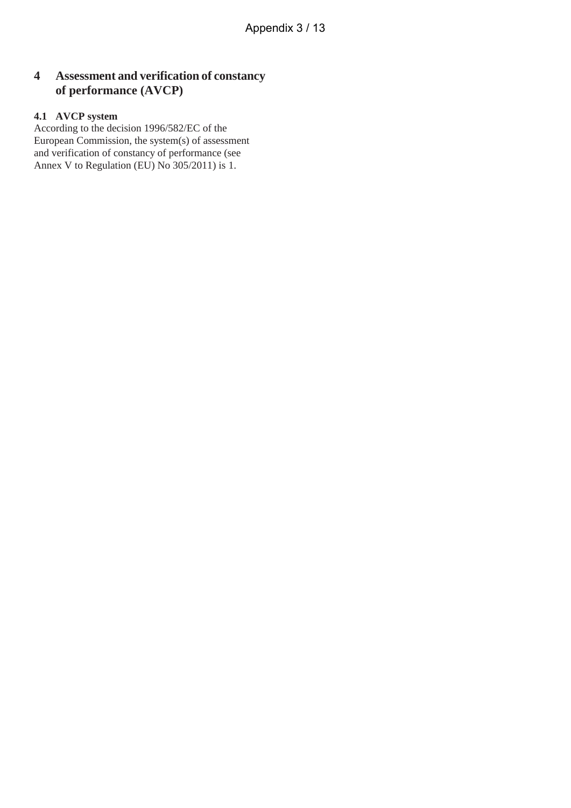## **4 Assessment and verification of constancy of performance (AVCP)**

### **4.1 AVCP system**

According to the decision 1996/582/EC of the European Commission, the system(s) of assessment and verification of constancy of performance (see Annex V to Regulation (EU) No 305/2011) is 1.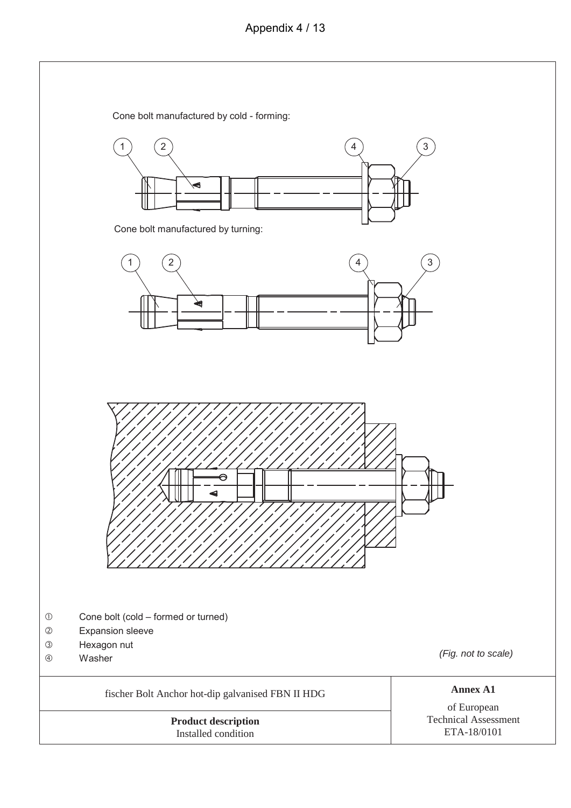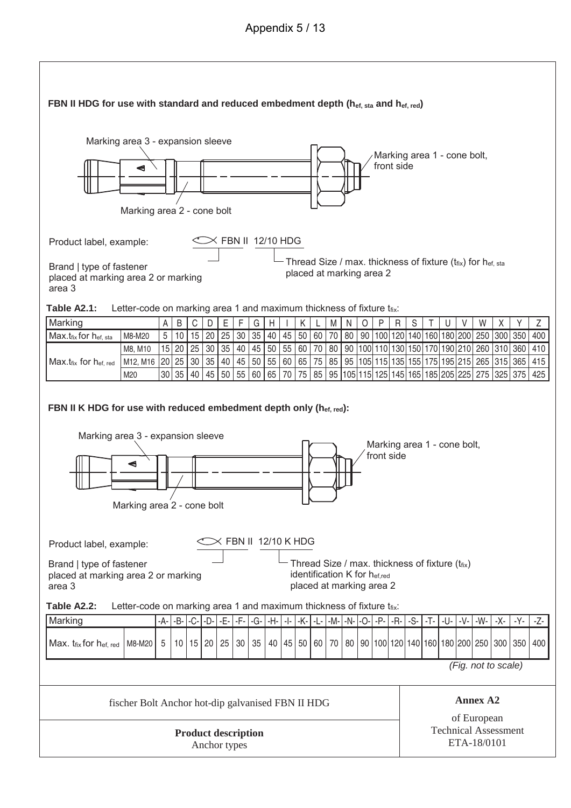## Appendix 5 / 13

| Marking area 3 - expansion sleeve<br>Marking area 1 - cone bolt,<br>front side<br>◀                                                                                                                                          |  |  |  |  |  |  |  |
|------------------------------------------------------------------------------------------------------------------------------------------------------------------------------------------------------------------------------|--|--|--|--|--|--|--|
| Marking area 2 - cone bolt                                                                                                                                                                                                   |  |  |  |  |  |  |  |
| $\times$ FBN II 12/10 HDG<br>Product label, example:<br>Thread Size / max. thickness of fixture (tfix) for hef, sta<br>Brand   type of fastener<br>placed at marking area 2<br>placed at marking area 2 or marking<br>area 3 |  |  |  |  |  |  |  |
| Table A2.1:<br>Letter-code on marking area 1 and maximum thickness of fixture tfix:                                                                                                                                          |  |  |  |  |  |  |  |
| $\mathsf C$<br>$\mathsf F$<br>G<br>$\mathsf Z$<br>Marking<br>A<br>B<br>E.<br>$\mathsf{H}$<br>Κ<br>M<br>$\circ$<br>P<br>S<br>V<br>W<br>$\sf X$<br>D<br>N<br>R<br>T<br>U<br>Υ                                                  |  |  |  |  |  |  |  |
| 80   90  100 120 140 160 180 200  250  300  350  <br>5<br>15 20 <br>25<br>30<br>35<br>40<br>45<br>50<br>60 70<br>400<br>M8-M20<br>10<br>Max.tfix for hef, sta                                                                |  |  |  |  |  |  |  |
| 55<br>15<br>25 30 <br>35<br>40<br>45<br>50<br>60<br>70 80<br>90  100   110   130   150   170   190   210   260   310   360<br>20<br>410<br>M8, M10                                                                           |  |  |  |  |  |  |  |
| 20<br>30   35   40<br>45<br>50<br>55<br>60<br>65<br>75 85<br>95  105  115  135  155  175  195   215   265   315   365<br>M12, M16<br>25<br>$Max.t_{fix}$ for $hat_{ref. red}$<br>415                                         |  |  |  |  |  |  |  |
| 55<br>75<br>85   95   105   115   125   145   165   185   205   225   275   325   375  <br>35<br>40<br>60<br>65<br>30 <sup>°</sup><br>45<br>50<br>70<br>425<br>M20                                                           |  |  |  |  |  |  |  |
| FBN II K HDG for use with reduced embedment depth only (hef, red):<br>Marking area 3 - expansion sleeve<br>Marking area 1 - cone bolt,<br>front side<br>◀<br>Marking area 2 - cone bolt                                      |  |  |  |  |  |  |  |
| $\times$ FBN II 12/10 K HDG                                                                                                                                                                                                  |  |  |  |  |  |  |  |
| Product label, example:<br>Thread Size / max. thickness of fixture (tfix)<br>Brand   type of fastener<br>identification K for hef,red<br>placed at marking area 2 or marking<br>placed at marking area 2<br>area 3           |  |  |  |  |  |  |  |
| Table A2.2:<br>Letter-code on marking area 1 and maximum thickness of fixture tfix:                                                                                                                                          |  |  |  |  |  |  |  |
| Marking<br>$-C-$<br>$-D-$<br>$-E1$<br>-F-<br>$-G-$<br>-A-<br>-B-<br>$-H-$<br>-K-<br>$-M -N   -$<br>-R-<br>-S-<br>$-T -$<br>-U-<br>$-V-$<br>-W-<br>-Х-<br>$-Y-$<br>-Z-<br>-1-<br>-P-<br>-L-1                                  |  |  |  |  |  |  |  |
| 80   90  100 120 140 160 180 200  250   300  <br>Max. $t_{fix}$ for $h_{ef, red}$<br>25<br>30<br>35<br>45<br>50<br>60 70<br>350<br>M8-M20<br>5<br>10 15 20<br>40<br>400                                                      |  |  |  |  |  |  |  |
|                                                                                                                                                                                                                              |  |  |  |  |  |  |  |
| (Fig. not to scale)                                                                                                                                                                                                          |  |  |  |  |  |  |  |
| <b>Annex A2</b><br>fischer Bolt Anchor hot-dip galvanised FBN II HDG                                                                                                                                                         |  |  |  |  |  |  |  |
| of European<br><b>Technical Assessment</b><br><b>Product description</b><br>ETA-18/0101<br>Anchor types                                                                                                                      |  |  |  |  |  |  |  |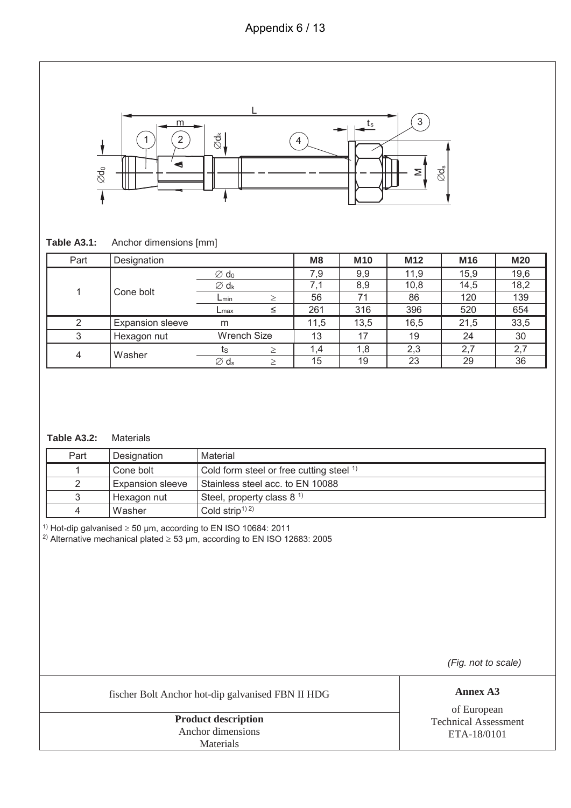### Appendix 6 / 13



#### **Table A3.1:** Anchor dimensions [mm]

| Part | Designation             |                              | M <sub>8</sub> | <b>M10</b> | M <sub>12</sub> | M16  | <b>M20</b> |
|------|-------------------------|------------------------------|----------------|------------|-----------------|------|------------|
|      |                         | $\varnothing$ d <sub>0</sub> | 7,9            | 9,9        | 11,9            | 15,9 | 19,6       |
| 1    | Cone bolt               | $\varnothing$ d <sub>k</sub> | 7.1            | 8,9        | 10,8            | 14,5 | 18,2       |
|      |                         | $L_{min}$                    | 56             | 71         | 86              | 120  | 139        |
|      |                         | $L$ max                      | 261            | 316        | 396             | 520  | 654        |
| 2    | <b>Expansion sleeve</b> | m                            | 11.5           | 13,5       | 16,5            | 21,5 | 33,5       |
| 3    | Hexagon nut             | <b>Wrench Size</b>           | 13             | 17         | 19              | 24   | 30         |
| 4    | Washer                  | τs                           | 1,4            | 1,8        | 2,3             | 2,7  | 2,7        |
|      |                         | $\varnothing$ d <sub>s</sub> | 15             | 19         | 23              | 29   | 36         |

### **Table A3.2:** Materials

| Part | Designation             | Material                                            |
|------|-------------------------|-----------------------------------------------------|
|      | Cone bolt               | Cold form steel or free cutting steel <sup>1)</sup> |
|      | <b>Expansion sleeve</b> | Stainless steel acc. to EN 10088                    |
|      | Hexagon nut             | Steel, property class $81$                          |
|      | Washer                  | Cold strip <sup><math>1)</math></sup>               |

<sup>1)</sup> Hot-dip galvanised  $\geq$  50 µm, according to EN ISO 10684: 2011

<sup>2)</sup> Alternative mechanical plated  $\geq$  53 µm, according to EN ISO 12683: 2005

(Fig. not to scale)

fischer Bolt Anchor hot-dip galvanised FBN II HDG **Annex A3**

**Product description** Anchor dimensions Materials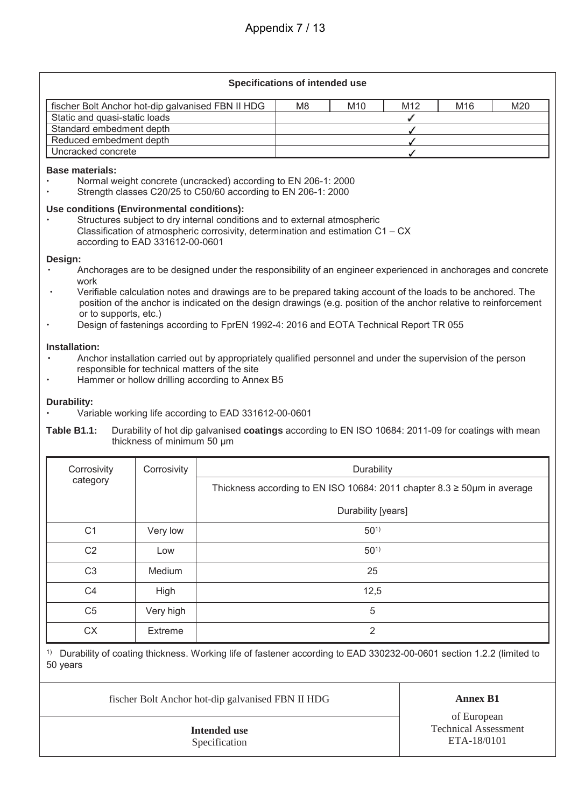### Appendix 7 / 13

#### **Specifications of intended use**

| fischer Bolt Anchor hot-dip galvanised FBN II HDG | M8 | M <sub>10</sub> | M <sub>12</sub> | M <sub>16</sub> | M20 |
|---------------------------------------------------|----|-----------------|-----------------|-----------------|-----|
| Static and quasi-static loads                     |    |                 |                 |                 |     |
| Standard embedment depth                          |    |                 |                 |                 |     |
| Reduced embedment depth                           |    |                 |                 |                 |     |
| Uncracked concrete                                |    |                 |                 |                 |     |

#### **Base materials:**

- ' Normal weight concrete (uncracked) according to EN 206-1: 2000
- Strength classes C20/25 to C50/60 according to EN 206-1: 2000

#### **Use conditions (Environmental conditions):**

Structures subject to dry internal conditions and to external atmospheric Classification of atmospheric corrosivity, determination and estimation C1 – CX according to EAD 331612-00-0601

#### **Design:**

- ' Anchorages are to be designed under the responsibility of an engineer experienced in anchorages and concrete work
- ' Verifiable calculation notes and drawings are to be prepared taking account of the loads to be anchored. The position of the anchor is indicated on the design drawings (e.g. position of the anchor relative to reinforcement or to supports, etc.)
- Design of fastenings according to FprEN 1992-4: 2016 and EOTA Technical Report TR 055

#### **Installation:**

- ' Anchor installation carried out by appropriately qualified personnel and under the supervision of the person responsible for technical matters of the site
- Hammer or hollow drilling according to Annex B5

#### **Durability:**

- ' Variable working life according to EAD 331612-00-0601
- **Table B1.1:** Durability of hot dip galvanised **coatings** according to EN ISO 10684: 2011-09 for coatings with mean thickness of minimum 50 μm

| Corrosivity    | Corrosivity | Durability                                                                      |
|----------------|-------------|---------------------------------------------------------------------------------|
| category       |             | Thickness according to EN ISO 10684: 2011 chapter $8.3 \ge 50 \mu m$ in average |
|                |             | Durability [years]                                                              |
| C <sub>1</sub> | Very low    | $50^{1}$                                                                        |
| C <sub>2</sub> | Low         | $50^{1}$                                                                        |
| C <sub>3</sub> | Medium      | 25                                                                              |
| C <sub>4</sub> | High        | 12,5                                                                            |
| C <sub>5</sub> | Very high   | 5                                                                               |
| <b>CX</b>      | Extreme     | 2                                                                               |

1) Durability of coating thickness. Working life of fastener according to EAD 330232-00-0601 section 1.2.2 (limited to 50 years

fischer Bolt Anchor hot-dip galvanised FBN II HDG **Annex B1**

**Intended use** Specification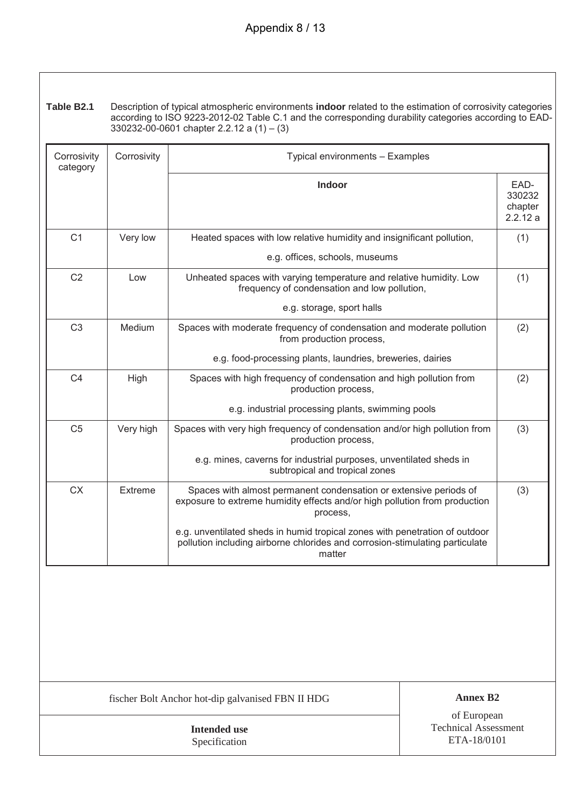**Table B2.1** Description of typical atmospheric environments **indoor** related to the estimation of corrosivity categories according to ISO 9223-2012-02 Table C.1 and the corresponding durability categories according to EAD- $330232 - 00 - 0601$  chapter 2.2.12 a (1) – (3)

| Corrosivity<br>category | Corrosivity | Typical environments - Examples                                                                                                                                       |                                      |
|-------------------------|-------------|-----------------------------------------------------------------------------------------------------------------------------------------------------------------------|--------------------------------------|
|                         |             | <b>Indoor</b>                                                                                                                                                         | EAD-<br>330232<br>chapter<br>2.2.12a |
| C <sub>1</sub>          | Very low    | Heated spaces with low relative humidity and insignificant pollution,                                                                                                 | (1)                                  |
|                         |             | e.g. offices, schools, museums                                                                                                                                        |                                      |
| C <sub>2</sub>          | Low         | Unheated spaces with varying temperature and relative humidity. Low<br>frequency of condensation and low pollution,                                                   |                                      |
|                         |             | e.g. storage, sport halls                                                                                                                                             |                                      |
| C <sub>3</sub>          | Medium      | Spaces with moderate frequency of condensation and moderate pollution<br>from production process,                                                                     |                                      |
|                         |             | e.g. food-processing plants, laundries, breweries, dairies                                                                                                            |                                      |
| C <sub>4</sub>          | High        | Spaces with high frequency of condensation and high pollution from<br>production process,                                                                             |                                      |
|                         |             | e.g. industrial processing plants, swimming pools                                                                                                                     |                                      |
| C <sub>5</sub>          | Very high   | Spaces with very high frequency of condensation and/or high pollution from<br>production process,                                                                     | (3)                                  |
|                         |             | e.g. mines, caverns for industrial purposes, unventilated sheds in<br>subtropical and tropical zones                                                                  |                                      |
| <b>CX</b>               | Extreme     | Spaces with almost permanent condensation or extensive periods of<br>exposure to extreme humidity effects and/or high pollution from production<br>process,           | (3)                                  |
|                         |             | e.g. unventilated sheds in humid tropical zones with penetration of outdoor<br>pollution including airborne chlorides and corrosion-stimulating particulate<br>matter |                                      |

fischer Bolt Anchor hot-dip galvanised FBN II HDG **Annex B2**

**Intended use** Specification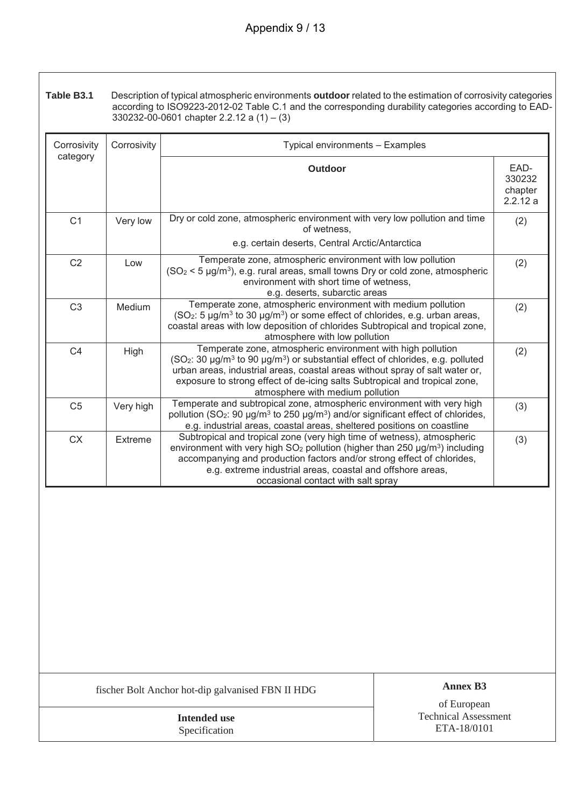**Table B3.1** Description of typical atmospheric environments **outdoor** related to the estimation of corrosivity categories according to ISO9223-2012-02 Table C.1 and the corresponding durability categories according to EAD- $330232-00-0601$  chapter 2.2.12 a  $(1) - (3)$ 

| Corrosivity    | Corrosivity | Typical environments - Examples                                                                                                                                                                                                                                                                                                                                                      |                                      |
|----------------|-------------|--------------------------------------------------------------------------------------------------------------------------------------------------------------------------------------------------------------------------------------------------------------------------------------------------------------------------------------------------------------------------------------|--------------------------------------|
| category       |             | <b>Outdoor</b>                                                                                                                                                                                                                                                                                                                                                                       | EAD-<br>330232<br>chapter<br>2.2.12a |
| C <sub>1</sub> | Very low    | Dry or cold zone, atmospheric environment with very low pollution and time<br>of wetness.<br>e.g. certain deserts, Central Arctic/Antarctica                                                                                                                                                                                                                                         | (2)                                  |
| C <sub>2</sub> | Low         | Temperate zone, atmospheric environment with low pollution<br>$(SO2 < 5 \mu g/m3)$ , e.g. rural areas, small towns Dry or cold zone, atmospheric<br>environment with short time of wetness,<br>e.g. deserts, subarctic areas                                                                                                                                                         |                                      |
| C <sub>3</sub> | Medium      | Temperate zone, atmospheric environment with medium pollution<br>$SO2$ : 5 µg/m <sup>3</sup> to 30 µg/m <sup>3</sup> ) or some effect of chlorides, e.g. urban areas,<br>coastal areas with low deposition of chlorides Subtropical and tropical zone,<br>atmosphere with low pollution                                                                                              | (2)                                  |
| C <sub>4</sub> | High        | Temperate zone, atmospheric environment with high pollution<br>(SO <sub>2</sub> : 30 µg/m <sup>3</sup> to 90 µg/m <sup>3</sup> ) or substantial effect of chlorides, e.g. polluted<br>urban areas, industrial areas, coastal areas without spray of salt water or,<br>exposure to strong effect of de-icing salts Subtropical and tropical zone,<br>atmosphere with medium pollution | (2)                                  |
| C <sub>5</sub> | Very high   | Temperate and subtropical zone, atmospheric environment with very high<br>pollution (SO <sub>2</sub> : 90 µg/m <sup>3</sup> to 250 µg/m <sup>3</sup> ) and/or significant effect of chlorides,<br>e.g. industrial areas, coastal areas, sheltered positions on coastline                                                                                                             | (3)                                  |
| <b>CX</b>      | Extreme     | Subtropical and tropical zone (very high time of wetness), atmospheric<br>environment with very high SO <sub>2</sub> pollution (higher than 250 µg/m <sup>3</sup> ) including<br>accompanying and production factors and/or strong effect of chlorides,<br>e.g. extreme industrial areas, coastal and offshore areas,<br>occasional contact with salt spray                          | (3)                                  |

fischer Bolt Anchor hot-dip galvanised FBN II HDG **Annex B3**

**Intended use** Specification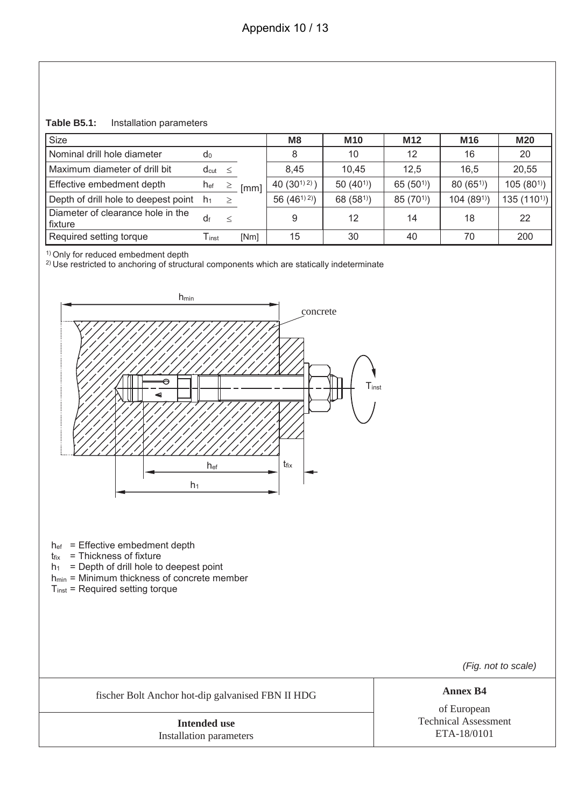**Table B5.1:** Installation parameters

| Size                                         |                              |        |      | M8              | <b>M10</b>    | M <sub>12</sub> | M <sub>16</sub>       | <b>M20</b>    |
|----------------------------------------------|------------------------------|--------|------|-----------------|---------------|-----------------|-----------------------|---------------|
| Nominal drill hole diameter                  | d <sub>0</sub>               |        |      | 8               | 10            | 12              | 16                    | 20            |
| Maximum diameter of drill bit                | $d_{cut} \leq$               |        |      | 8.45            | 10.45         | 12.5            | 16.5                  | 20,55         |
| Effective embedment depth                    | hef                          | $\geq$ | [mm] | 40 $(30^{1/2})$ | 50 $(40^{1})$ | 65 $(50^{1})$   | 80(65)                | $105(80^{1})$ |
| Depth of drill hole to deepest point         | h <sub>1</sub>               | >      |      | 56 $(46^{1/2})$ | 68 $(581)$    | $85(70^{1})$    | 104(89 <sup>1</sup> ) | 135 $(1101)$  |
| Diameter of clearance hole in the<br>fixture | df                           |        |      | 9               | 12            | 14              | 18                    | 22            |
| Required setting torque                      | $\mathsf{T}_{\mathsf{inst}}$ |        | [Nm] | 15              | 30            | 40              | 70                    | 200           |

<sup>1)</sup> Only for reduced embedment depth

<sup>2)</sup> Use restricted to anchoring of structural components which are statically indeterminate



hef = Effective embedment depth

 $t_{fix}$  = Thickness of fixture

 $h_1$  = Depth of drill hole to deepest point

- hmin = Minimum thickness of concrete member
- Tinst = Required setting torque

(Fig. not to scale)

fischer Bolt Anchor hot-dip galvanised FBN II HDG **Annex B4**

**Intended use** Installation parameters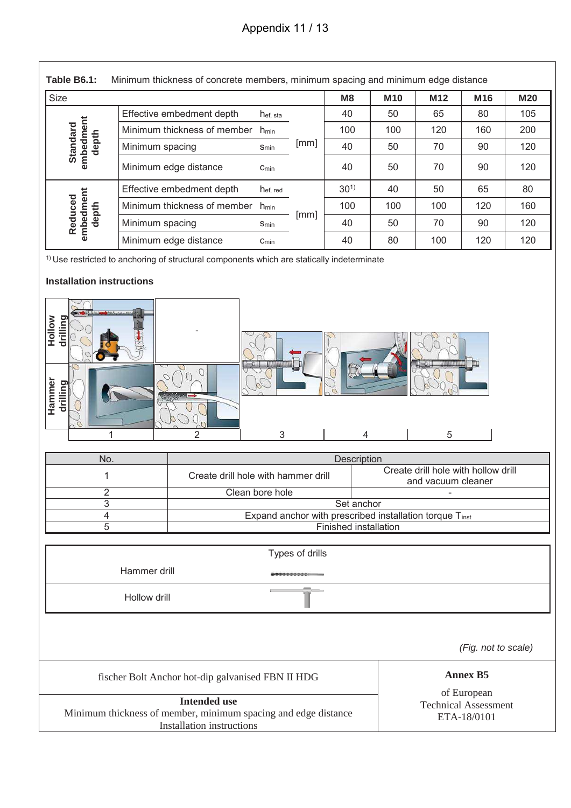# Appendix 11 / 13

| <b>Size</b>                                                                                 |                             |                       |      | M8       | <b>M10</b> | M <sub>12</sub> | M <sub>16</sub> | <b>M20</b> |
|---------------------------------------------------------------------------------------------|-----------------------------|-----------------------|------|----------|------------|-----------------|-----------------|------------|
|                                                                                             | Effective embedment depth   | h <sub>ef, sta</sub>  |      | 40       | 50         | 65              | 80              | 105        |
|                                                                                             | Minimum thickness of member | $h_{min}$             |      | 100      | 100        | 120             | 160             | 200        |
| embedment<br>Standard<br>depth                                                              | Minimum spacing             | Smin                  | [mm] | 40       | 50         | 70              | 90              | 120        |
|                                                                                             | Minimum edge distance       | $C_{min}$             |      | 40       | 50         | 70              | 90              | 120        |
|                                                                                             | Effective embedment depth   | hef, red<br>$h_{min}$ |      | $30^{1}$ | 40         | 50              | 65              | 80         |
|                                                                                             | Minimum thickness of member |                       |      | 100      | 100        | 100             | 120             | 160        |
| embedment<br>Reduced<br>depth                                                               | Minimum spacing             | Smin                  | [mm] | 40       | 50         | 70              | 90              | 120        |
|                                                                                             | Minimum edge distance       |                       | 40   | 80       | 100        | 120             | 120             |            |
| $1$ Use restricted to anchoring of structural components which are statically indeterminate |                             |                       |      |          |            |                 |                 |            |
| Installation instructions                                                                   |                             |                       |      |          |            |                 |                 |            |

| Hollow | Composition of the Composition of the Composition<br>drilling<br>虽 |          |                                     |             |                                                           |  |
|--------|--------------------------------------------------------------------|----------|-------------------------------------|-------------|-----------------------------------------------------------|--|
| Hammer | drilling                                                           | ( س<br>っ | 3                                   | 4           | 5                                                         |  |
|        |                                                                    |          |                                     |             |                                                           |  |
|        |                                                                    |          |                                     |             |                                                           |  |
|        | No.                                                                |          |                                     | Description |                                                           |  |
|        |                                                                    |          | Create drill hole with hammer drill |             | Create drill hole with hollow drill<br>and vacuum cleaner |  |

| ------------                                                 |                                                           |  |  |  |  |  |
|--------------------------------------------------------------|-----------------------------------------------------------|--|--|--|--|--|
| Create drill hole with hammer drill                          | Create drill hole with hollow drill<br>and vacuum cleaner |  |  |  |  |  |
| Clean bore hole                                              |                                                           |  |  |  |  |  |
| Set anchor                                                   |                                                           |  |  |  |  |  |
| Expand anchor with prescribed installation torque $T_{inst}$ |                                                           |  |  |  |  |  |
| Finished installation                                        |                                                           |  |  |  |  |  |
|                                                              |                                                           |  |  |  |  |  |

|                                                                                                                           | Types of drills |                                            |
|---------------------------------------------------------------------------------------------------------------------------|-----------------|--------------------------------------------|
| Hammer drill                                                                                                              |                 |                                            |
| Hollow drill                                                                                                              |                 |                                            |
|                                                                                                                           |                 | (Fig. not to scale)                        |
| fischer Bolt Anchor hot-dip galvanised FBN II HDG                                                                         |                 | <b>Annex B5</b><br>of European             |
| <b>Intended use</b><br>Minimum thickness of member, minimum spacing and edge distance<br><b>Installation instructions</b> |                 | <b>Technical Assessment</b><br>ETA-18/0101 |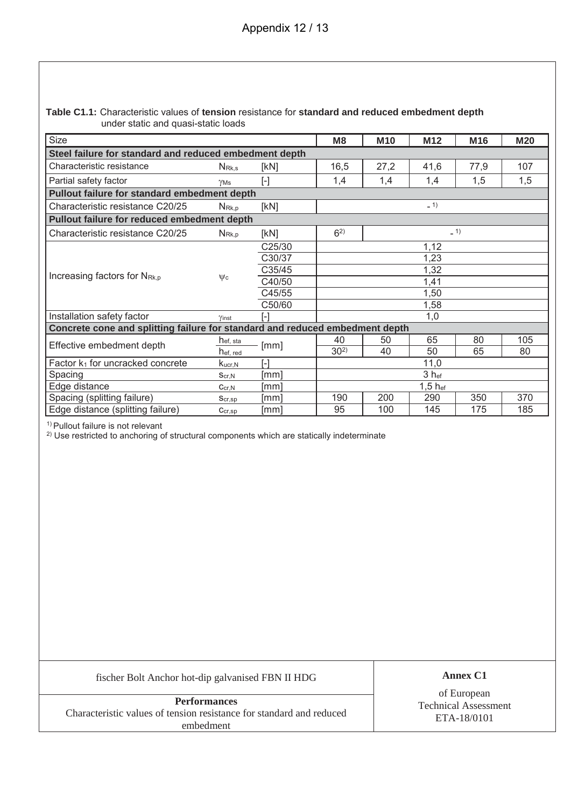#### **Table C1.1:** Characteristic values of **tension** resistance for **standard and reduced embedment depth** under static and quasi-static loads

| Size                                                                         |                      |                                                                                                                                                                                                                                                                                                                                                                                                                                                                                                                                                                                                                                                                                                                                                                                  | M <sub>8</sub>   | <b>M10</b> | M <sub>12</sub> | M16  | <b>M20</b> |  |  |
|------------------------------------------------------------------------------|----------------------|----------------------------------------------------------------------------------------------------------------------------------------------------------------------------------------------------------------------------------------------------------------------------------------------------------------------------------------------------------------------------------------------------------------------------------------------------------------------------------------------------------------------------------------------------------------------------------------------------------------------------------------------------------------------------------------------------------------------------------------------------------------------------------|------------------|------------|-----------------|------|------------|--|--|
| Steel failure for standard and reduced embedment depth                       |                      |                                                                                                                                                                                                                                                                                                                                                                                                                                                                                                                                                                                                                                                                                                                                                                                  |                  |            |                 |      |            |  |  |
| Characteristic resistance                                                    | N <sub>Rk.s</sub>    | [kN]                                                                                                                                                                                                                                                                                                                                                                                                                                                                                                                                                                                                                                                                                                                                                                             | 16,5             | 27,2       | 41,6            | 77,9 | 107        |  |  |
| Partial safety factor                                                        | YMs                  | $[\cdot] % \centering \includegraphics[width=0.9\textwidth]{images/TrDiS/N-Architecture.png} % \caption{The first two different values of $N$ in the \mbox{thick model} and the second two different values of $N$ in the \mbox{thick model} and the second two different values of $N$ in the \mbox{thick model} and the second two different values of $N$ in the \mbox{thick model} and the second two different values of $N$ in the \mbox{thick model} and the second two different values of $N$ in the \mbox{thick model} and the third two different values of $N$ in the \mbox{thick model} and the third two different values of $N$ in the \mbox{thick model} and the third two different values of $N$ in the \mbox{thick model} and the third two different values$ | 1,4              | 1,4        | 1,4             | 1,5  | 1,5        |  |  |
| Pullout failure for standard embedment depth                                 |                      |                                                                                                                                                                                                                                                                                                                                                                                                                                                                                                                                                                                                                                                                                                                                                                                  |                  |            |                 |      |            |  |  |
| Characteristic resistance C20/25                                             | N <sub>Rk,p</sub>    | [KN]                                                                                                                                                                                                                                                                                                                                                                                                                                                                                                                                                                                                                                                                                                                                                                             | $-1$             |            |                 |      |            |  |  |
| Pullout failure for reduced embedment depth                                  |                      |                                                                                                                                                                                                                                                                                                                                                                                                                                                                                                                                                                                                                                                                                                                                                                                  |                  |            |                 |      |            |  |  |
| Characteristic resistance C20/25                                             | $N_{\rm Rk,p}$       | [kN]                                                                                                                                                                                                                                                                                                                                                                                                                                                                                                                                                                                                                                                                                                                                                                             | $-1)$<br>$6^{2}$ |            |                 |      |            |  |  |
| Increasing factors for N <sub>Rk,p</sub>                                     |                      | C25/30                                                                                                                                                                                                                                                                                                                                                                                                                                                                                                                                                                                                                                                                                                                                                                           | 1,12             |            |                 |      |            |  |  |
|                                                                              |                      | C30/37                                                                                                                                                                                                                                                                                                                                                                                                                                                                                                                                                                                                                                                                                                                                                                           | 1,23             |            |                 |      |            |  |  |
|                                                                              |                      | C35/45                                                                                                                                                                                                                                                                                                                                                                                                                                                                                                                                                                                                                                                                                                                                                                           | 1,32             |            |                 |      |            |  |  |
|                                                                              | $\mathsf{Wc}$        | C40/50                                                                                                                                                                                                                                                                                                                                                                                                                                                                                                                                                                                                                                                                                                                                                                           | 1,41             |            |                 |      |            |  |  |
|                                                                              |                      | C45/55                                                                                                                                                                                                                                                                                                                                                                                                                                                                                                                                                                                                                                                                                                                                                                           | 1,50             |            |                 |      |            |  |  |
|                                                                              |                      | C50/60                                                                                                                                                                                                                                                                                                                                                                                                                                                                                                                                                                                                                                                                                                                                                                           | 1,58             |            |                 |      |            |  |  |
| Installation safety factor                                                   | Yinst                |                                                                                                                                                                                                                                                                                                                                                                                                                                                                                                                                                                                                                                                                                                                                                                                  | 1,0              |            |                 |      |            |  |  |
| Concrete cone and splitting failure for standard and reduced embedment depth |                      |                                                                                                                                                                                                                                                                                                                                                                                                                                                                                                                                                                                                                                                                                                                                                                                  |                  |            |                 |      |            |  |  |
| Effective embedment depth                                                    | h <sub>ef, sta</sub> |                                                                                                                                                                                                                                                                                                                                                                                                                                                                                                                                                                                                                                                                                                                                                                                  | 40               | 50         | 65              | 80   | 105        |  |  |
|                                                                              | hef, red             | [mm]                                                                                                                                                                                                                                                                                                                                                                                                                                                                                                                                                                                                                                                                                                                                                                             | $30^{2}$         | 40         | 50              | 65   | 80         |  |  |
| Factor $k_1$ for uncracked concrete                                          | $K_{\text{ucr,N}}$   | [-]                                                                                                                                                                                                                                                                                                                                                                                                                                                                                                                                                                                                                                                                                                                                                                              | 11,0             |            |                 |      |            |  |  |
| Spacing                                                                      | Scr.N                | [mm]                                                                                                                                                                                                                                                                                                                                                                                                                                                                                                                                                                                                                                                                                                                                                                             | 3 hef            |            |                 |      |            |  |  |
| Edge distance                                                                | Ccr.N                | [mm]                                                                                                                                                                                                                                                                                                                                                                                                                                                                                                                                                                                                                                                                                                                                                                             | $1,5$ hef        |            |                 |      |            |  |  |
| Spacing (splitting failure)                                                  | $S_{cr,sp}$          | [mm]                                                                                                                                                                                                                                                                                                                                                                                                                                                                                                                                                                                                                                                                                                                                                                             | 190              | 200        | 290             | 350  | 370        |  |  |
| Edge distance (splitting failure)                                            | Ccr, sp              | [mm]                                                                                                                                                                                                                                                                                                                                                                                                                                                                                                                                                                                                                                                                                                                                                                             | 95               | 100        | 145             | 175  | 185        |  |  |

<sup>1)</sup> Pullout failure is not relevant

<sup>2)</sup> Use restricted to anchoring of structural components which are statically indeterminate

fischer Bolt Anchor hot-dip galvanised FBN II HDG **Annex C1**

**Performances** Characteristic values of tension resistance for standard and reduced embedment